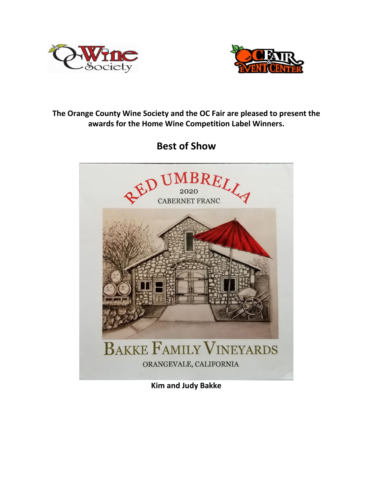



## **The Orange County Wine Society and the OC Fair are pleased to present the awards for the Home Wine Competition Label Winners.**

**Best of Show**



**Kim and Judy Bakke**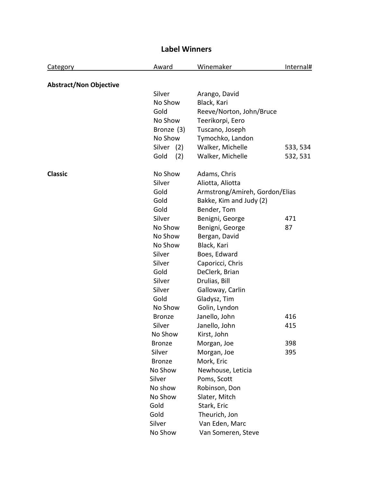| <b>Category</b>               | Award         | Winemaker                      | Internal# |
|-------------------------------|---------------|--------------------------------|-----------|
| <b>Abstract/Non Objective</b> |               |                                |           |
|                               | Silver        | Arango, David                  |           |
|                               | No Show       | Black, Kari                    |           |
|                               | Gold          | Reeve/Norton, John/Bruce       |           |
|                               | No Show       | Teerikorpi, Eero               |           |
|                               | Bronze (3)    | Tuscano, Joseph                |           |
|                               | No Show       | Tymochko, Landon               |           |
|                               | Silver (2)    | Walker, Michelle               | 533, 534  |
|                               | Gold<br>(2)   | Walker, Michelle               | 532, 531  |
| <b>Classic</b>                | No Show       | Adams, Chris                   |           |
|                               | Silver        | Aliotta, Aliotta               |           |
|                               | Gold          | Armstrong/Amireh, Gordon/Elias |           |
|                               | Gold          | Bakke, Kim and Judy (2)        |           |
|                               | Gold          | Bender, Tom                    |           |
|                               | Silver        | Benigni, George                | 471       |
|                               | No Show       | Benigni, George                | 87        |
|                               | No Show       | Bergan, David                  |           |
|                               | No Show       | Black, Kari                    |           |
|                               | Silver        | Boes, Edward                   |           |
|                               | Silver        | Caporicci, Chris               |           |
|                               | Gold          | DeClerk, Brian                 |           |
|                               | Silver        | Drulias, Bill                  |           |
|                               | Silver        | Galloway, Carlin               |           |
|                               | Gold          | Gladysz, Tim                   |           |
|                               | No Show       | Golin, Lyndon                  |           |
|                               | <b>Bronze</b> | Janello, John                  | 416       |
|                               | Silver        | Janello, John                  | 415       |
|                               | No Show       | Kirst, John                    |           |
|                               | <b>Bronze</b> | Morgan, Joe                    | 398       |
|                               | Silver        | Morgan, Joe                    | 395       |
|                               | <b>Bronze</b> | Mork, Eric                     |           |
|                               | No Show       | Newhouse, Leticia              |           |
|                               | Silver        | Poms, Scott                    |           |
|                               | No show       | Robinson, Don                  |           |
|                               | No Show       | Slater, Mitch                  |           |
|                               | Gold          | Stark, Eric                    |           |
|                               | Gold          | Theurich, Jon                  |           |
|                               | Silver        | Van Eden, Marc                 |           |
|                               | No Show       | Van Someren, Steve             |           |

## **Label Winners**